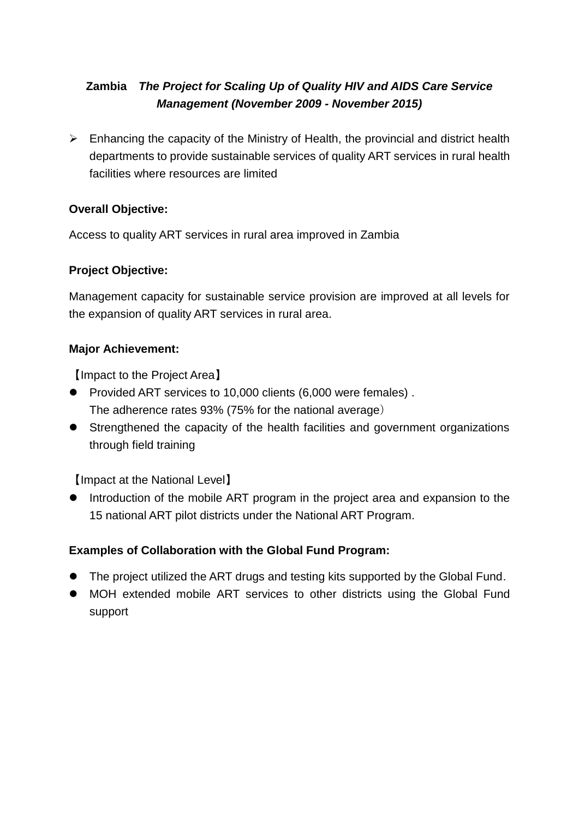# **Zambia** *The Project for Scaling Up of Quality HIV and AIDS Care Service Management (November 2009 - November 2015)*

 $\triangleright$  Enhancing the capacity of the Ministry of Health, the provincial and district health departments to provide sustainable services of quality ART services in rural health facilities where resources are limited

## **Overall Objective:**

Access to quality ART services in rural area improved in Zambia

### **Project Objective:**

Management capacity for sustainable service provision are improved at all levels for the expansion of quality ART services in rural area.

### **Major Achievement:**

【Impact to the Project Area】

- Provided ART services to 10,000 clients (6,000 were females) . The adherence rates 93% (75% for the national average)
- Strengthened the capacity of the health facilities and government organizations through field training

【Impact at the National Level】

• Introduction of the mobile ART program in the project area and expansion to the 15 national ART pilot districts under the National ART Program.

# **Examples of Collaboration with the Global Fund Program:**

- The project utilized the ART drugs and testing kits supported by the Global Fund.
- MOH extended mobile ART services to other districts using the Global Fund support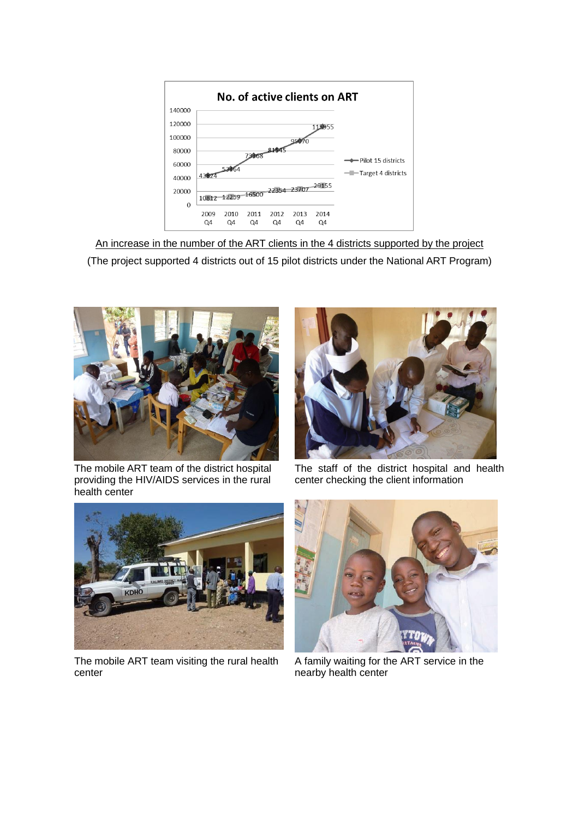

An increase in the number of the ART clients in the 4 districts supported by the project (The project supported 4 districts out of 15 pilot districts under the National ART Program)



The mobile ART team of the district hospital providing the HIV/AIDS services in the rural health center



The staff of the district hospital and health center checking the client information



The mobile ART team visiting the rural health center



A family waiting for the ART service in the nearby health center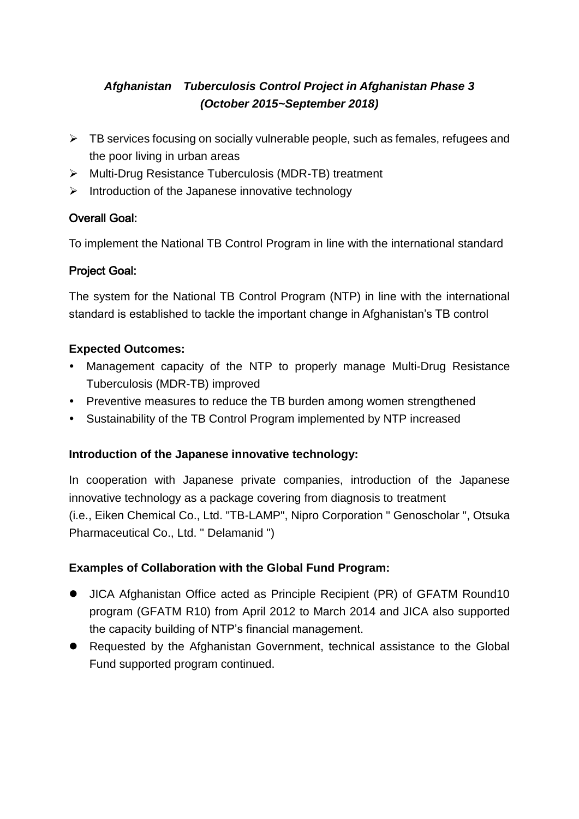# *Afghanistan Tuberculosis Control Project in Afghanistan Phase 3 (October 2015~September 2018)*

- $\triangleright$  TB services focusing on socially vulnerable people, such as females, refugees and the poor living in urban areas
- ▶ Multi-Drug Resistance Tuberculosis (MDR-TB) treatment
- $\triangleright$  Introduction of the Japanese innovative technology

# Overall Goal:

To implement the National TB Control Program in line with the international standard

# Project Goal:

The system for the National TB Control Program (NTP) in line with the international standard is established to tackle the important change in Afghanistan's TB control

## **Expected Outcomes:**

- Management capacity of the NTP to properly manage Multi-Drug Resistance Tuberculosis (MDR-TB) improved
- Preventive measures to reduce the TB burden among women strengthened
- Sustainability of the TB Control Program implemented by NTP increased

### **Introduction of the Japanese innovative technology:**

In cooperation with Japanese private companies, introduction of the Japanese innovative technology as a package covering from diagnosis to treatment (i.e., Eiken Chemical Co., Ltd. "TB-LAMP", Nipro Corporation " Genoscholar ", Otsuka Pharmaceutical Co., Ltd. " Delamanid ")

# **Examples of Collaboration with the Global Fund Program:**

- JICA Afghanistan Office acted as Principle Recipient (PR) of GFATM Round10 program (GFATM R10) from April 2012 to March 2014 and JICA also supported the capacity building of NTP's financial management.
- Requested by the Afghanistan Government, technical assistance to the Global Fund supported program continued.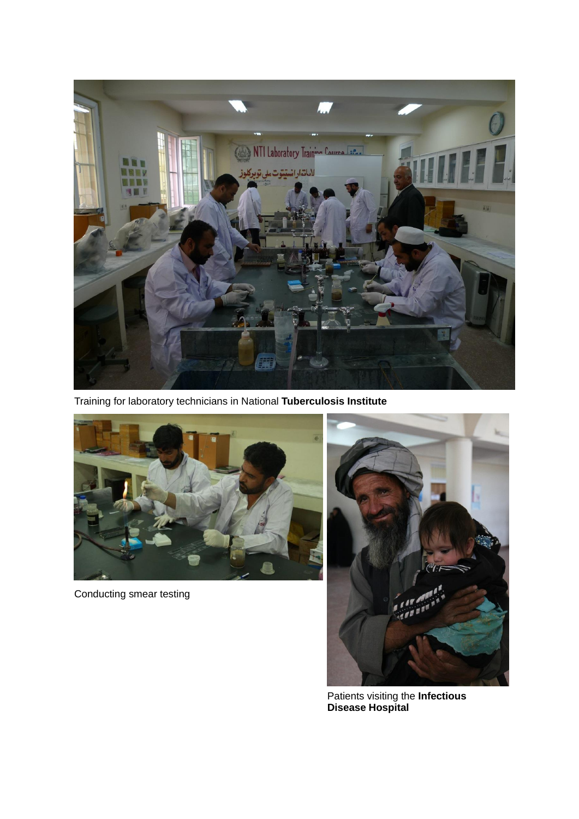

Training for laboratory technicians in National **Tuberculosis Institute**



Conducting smear testing



Patients visiting the **Infectious Disease Hospital**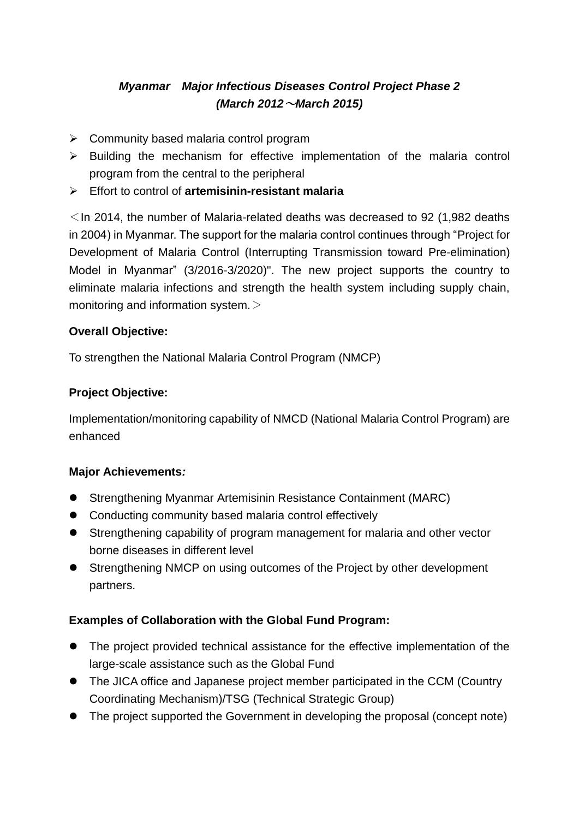# *Myanmar Major Infectious Diseases Control Project Phase 2 (March 2012*~*March 2015)*

- $\triangleright$  Community based malaria control program
- $\triangleright$  Building the mechanism for effective implementation of the malaria control program from the central to the peripheral
- Effort to control of **artemisinin-resistant malaria**

 $\le$  In 2014, the number of Malaria-related deaths was decreased to 92 (1,982 deaths in 2004) in Myanmar. The support for the malaria control continues through "Project for Development of Malaria Control (Interrupting Transmission toward Pre-elimination) Model in Myanmar" (3/2016-3/2020)". The new project supports the country to eliminate malaria infections and strength the health system including supply chain, monitoring and information system. $>$ 

### **Overall Objective:**

To strengthen the National Malaria Control Program (NMCP)

## **Project Objective:**

Implementation/monitoring capability of NMCD (National Malaria Control Program) are enhanced

### **Major Achievements***:*

- Strengthening Myanmar Artemisinin Resistance Containment (MARC)
- Conducting community based malaria control effectively
- Strengthening capability of program management for malaria and other vector borne diseases in different level
- Strengthening NMCP on using outcomes of the Project by other development partners.

### **Examples of Collaboration with the Global Fund Program:**

- The project provided technical assistance for the effective implementation of the large-scale assistance such as the Global Fund
- The JICA office and Japanese project member participated in the CCM (Country Coordinating Mechanism)/TSG (Technical Strategic Group)
- The project supported the Government in developing the proposal (concept note)